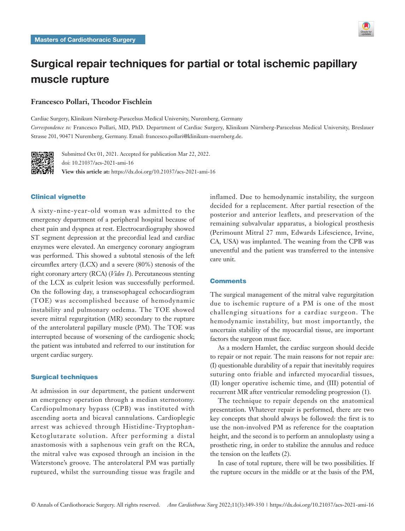

# Surgical repair techniques for partial or total ischemic papillary muscle rupture

## **Francesco Pollari, Theodor Fischlein**

Cardiac Surgery, Klinikum Nürnberg-Paracelsus Medical University, Nuremberg, Germany *Correspondence to:* Francesco Pollari, MD, PhD. Department of Cardiac Surgery, Klinikum Nürnberg-Paracelsus Medical University, Breslauer Strasse 201, 90471 Nuremberg, Germany. Email: francesco.pollari@klinikum-nuernberg.de.



Submitted Oct 01, 2021. Accepted for publication Mar 22, 2022. doi: 10.21037/acs-2021-ami-16 **View this article at:** https://dx.doi.org/10.21037/acs-2021-ami-16

## Clinical vignette

A sixty-nine-year-old woman was admitted to the emergency department of a peripheral hospital because of chest pain and dyspnea at rest. Electrocardiography showed ST segment depression at the precordial lead and cardiac enzymes were elevated. An emergency coronary angiogram was performed. This showed a subtotal stenosis of the left circumflex artery (LCX) and a severe (80%) stenosis of the right coronary artery (RCA) (*Video 1*). Percutaneous stenting of the LCX as culprit lesion was successfully performed. On the following day, a transesophageal echocardiogram (TOE) was accomplished because of hemodynamic instability and pulmonary oedema. The TOE showed severe mitral regurgitation (MR) secondary to the rupture of the anterolateral papillary muscle (PM). The TOE was interrupted because of worsening of the cardiogenic shock; the patient was intubated and referred to our institution for urgent cardiac surgery.

### Surgical techniques

At admission in our department, the patient underwent an emergency operation through a median sternotomy. Cardiopulmonary bypass (CPB) was instituted with ascending aorta and bicaval cannulations. Cardioplegic arrest was achieved through Histidine-Tryptophan-Ketoglutarate solution. After performing a distal anastomosis with a saphenous vein graft on the RCA, the mitral valve was exposed through an incision in the Waterstone's groove. The anterolateral PM was partially ruptured, whilst the surrounding tissue was fragile and inflamed. Due to hemodynamic instability, the surgeon decided for a replacement. After partial resection of the posterior and anterior leaflets, and preservation of the remaining subvalvular apparatus, a biological prosthesis (Perimount Mitral 27 mm, Edwards Lifescience, Irvine, CA, USA) was implanted. The weaning from the CPB was uneventful and the patient was transferred to the intensive care unit.

#### **Comments**

The surgical management of the mitral valve regurgitation due to ischemic rupture of a PM is one of the most challenging situations for a cardiac surgeon. The hemodynamic instability, but most importantly, the uncertain stability of the myocardial tissue, are important factors the surgeon must face.

As a modern Hamlet, the cardiac surgeon should decide to repair or not repair. The main reasons for not repair are: (I) questionable durability of a repair that inevitably requires suturing onto friable and infarcted myocardial tissues, (II) longer operative ischemic time, and (III) potential of recurrent MR after ventricular remodeling progression (1).

The technique to repair depends on the anatomical presentation. Whatever repair is performed, there are two key concepts that should always be followed: the first is to use the non-involved PM as reference for the coaptation height, and the second is to perform an annuloplasty using a prosthetic ring, in order to stabilize the annulus and reduce the tension on the leaflets (2).

In case of total rupture, there will be two possibilities. If the rupture occurs in the middle or at the basis of the PM,